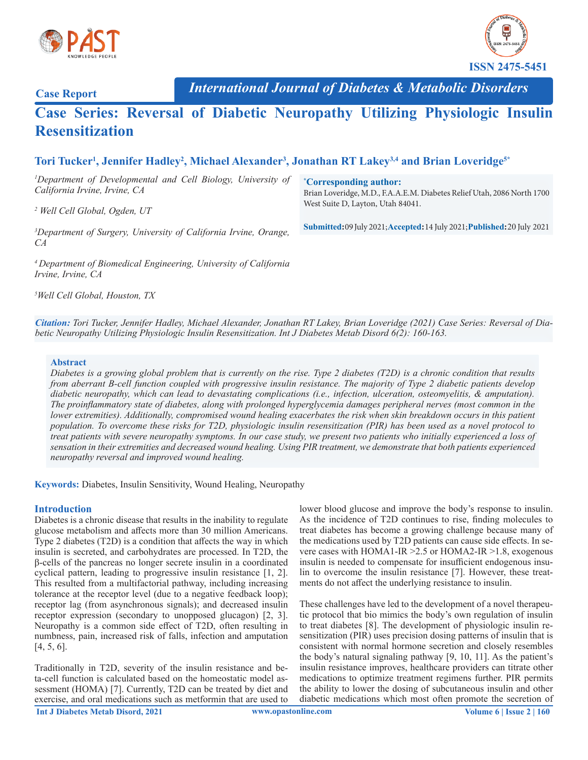



**Case Report**

*International Journal of Diabetes & Metabolic Disorders*

# **Case Series: Reversal of Diabetic Neuropathy Utilizing Physiologic Insulin Resensitization**

# **Tori Tucker1 , Jennifer Hadley2 , Michael Alexander3 , Jonathan RT Lakey3,4 and Brian Loveridge5\***

*1 Department of Developmental and Cell Biology, University of California Irvine, Irvine, CA*

*2 Well Cell Global, Ogden, UT* 

*3 Department of Surgery, University of California Irvine, Orange, CA*

*4 Department of Biomedical Engineering, University of California Irvine, Irvine, CA*

*5 Well Cell Global, Houston, TX*

**\* Corresponding author:**

Brian Loveridge, M.D., F.A.A.E.M. Diabetes Relief Utah, 2086 North 1700 West Suite D, Layton, Utah 84041.

**Submitted:** 09 July 2021; **Accepted:** 14 July 2021; **Published:** 20 July 2021

*Citation: Tori Tucker, Jennifer Hadley, Michael Alexander, Jonathan RT Lakey, Brian Loveridge (2021) Case Series: Reversal of Diabetic Neuropathy Utilizing Physiologic Insulin Resensitization. Int J Diabetes Metab Disord 6(2): 160-163.*

#### **Abstract**

*Diabetes is a growing global problem that is currently on the rise. Type 2 diabetes (T2D) is a chronic condition that results from aberrant B-cell function coupled with progressive insulin resistance. The majority of Type 2 diabetic patients develop diabetic neuropathy, which can lead to devastating complications (i.e., infection, ulceration, osteomyelitis, & amputation). The proinflammatory state of diabetes, along with prolonged hyperglycemia damages peripheral nerves (most common in the lower extremities*). Additionally, compromised wound healing exacerbates the risk when skin breakdown occurs in this patient *population. To overcome these risks for T2D, physiologic insulin resensitization (PIR) has been used as a novel protocol to treat patients with severe neuropathy symptoms. In our case study, we present two patients who initially experienced a loss of sensation in their extremities and decreased wound healing. Using PIR treatment, we demonstrate that both patients experienced neuropathy reversal and improved wound healing.* 

**Keywords:** Diabetes, Insulin Sensitivity, Wound Healing, Neuropathy

#### **Introduction**

Diabetes is a chronic disease that results in the inability to regulate glucose metabolism and affects more than 30 million Americans. Type 2 diabetes (T2D) is a condition that affects the way in which insulin is secreted, and carbohydrates are processed. In T2D, the β-cells of the pancreas no longer secrete insulin in a coordinated cyclical pattern, leading to progressive insulin resistance [1, 2]. This resulted from a multifactorial pathway, including increasing tolerance at the receptor level (due to a negative feedback loop); receptor lag (from asynchronous signals); and decreased insulin receptor expression (secondary to unopposed glucagon) [2, 3]. Neuropathy is a common side effect of T2D, often resulting in numbness, pain, increased risk of falls, infection and amputation [4, 5, 6].

Traditionally in T2D, severity of the insulin resistance and beta-cell function is calculated based on the homeostatic model assessment (HOMA) [7]. Currently, T2D can be treated by diet and exercise, and oral medications such as metformin that are used to lower blood glucose and improve the body's response to insulin. As the incidence of T2D continues to rise, finding molecules to treat diabetes has become a growing challenge because many of the medications used by T2D patients can cause side effects. In severe cases with HOMA1-IR >2.5 or HOMA2-IR >1.8, exogenous insulin is needed to compensate for insufficient endogenous insulin to overcome the insulin resistance [7]. However, these treatments do not affect the underlying resistance to insulin.

These challenges have led to the development of a novel therapeutic protocol that bio mimics the body's own regulation of insulin to treat diabetes [8]. The development of physiologic insulin resensitization (PIR) uses precision dosing patterns of insulin that is consistent with normal hormone secretion and closely resembles the body's natural signaling pathway [9, 10, 11]. As the patient's insulin resistance improves, healthcare providers can titrate other medications to optimize treatment regimens further. PIR permits the ability to lower the dosing of subcutaneous insulin and other diabetic medications which most often promote the secretion of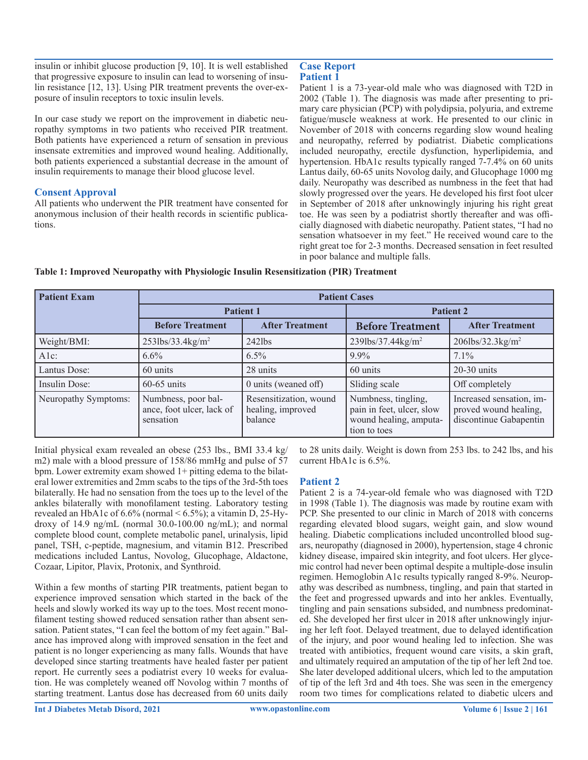insulin or inhibit glucose production [9, 10]. It is well established that progressive exposure to insulin can lead to worsening of insulin resistance [12, 13]. Using PIR treatment prevents the over-exposure of insulin receptors to toxic insulin levels.

In our case study we report on the improvement in diabetic neuropathy symptoms in two patients who received PIR treatment. Both patients have experienced a return of sensation in previous insensate extremities and improved wound healing. Additionally, both patients experienced a substantial decrease in the amount of insulin requirements to manage their blood glucose level.

#### **Consent Approval**

All patients who underwent the PIR treatment have consented for anonymous inclusion of their health records in scientific publications.

#### **Case Report Patient 1**

Patient 1 is a 73-year-old male who was diagnosed with T2D in 2002 (Table 1). The diagnosis was made after presenting to primary care physician (PCP) with polydipsia, polyuria, and extreme fatigue/muscle weakness at work. He presented to our clinic in November of 2018 with concerns regarding slow wound healing and neuropathy, referred by podiatrist. Diabetic complications included neuropathy, erectile dysfunction, hyperlipidemia, and hypertension. HbA1c results typically ranged 7-7.4% on 60 units Lantus daily, 60-65 units Novolog daily, and Glucophage 1000 mg daily. Neuropathy was described as numbness in the feet that had slowly progressed over the years. He developed his first foot ulcer in September of 2018 after unknowingly injuring his right great toe. He was seen by a podiatrist shortly thereafter and was officially diagnosed with diabetic neuropathy. Patient states, "I had no sensation whatsoever in my feet." He received wound care to the right great toe for 2-3 months. Decreased sensation in feet resulted in poor balance and multiple falls.

| <b>Patient Exam</b>  | <b>Patient Cases</b>                                          |                                                        |                                                                                            |                                                                             |
|----------------------|---------------------------------------------------------------|--------------------------------------------------------|--------------------------------------------------------------------------------------------|-----------------------------------------------------------------------------|
|                      | <b>Patient 1</b>                                              |                                                        | <b>Patient 2</b>                                                                           |                                                                             |
|                      | <b>Before Treatment</b>                                       | <b>After Treatment</b>                                 | <b>Before Treatment</b>                                                                    | <b>After Treatment</b>                                                      |
| Weight/BMI:          | $253$ lbs/33.4kg/m <sup>2</sup>                               | $242$ lbs                                              | 239lbs/37.44kg/m <sup>2</sup>                                                              | $206$ lbs/32.3kg/m <sup>2</sup>                                             |
| $A1c$ :              | $6.6\%$                                                       | $6.5\%$                                                | $9.9\%$                                                                                    | $7.1\%$                                                                     |
| Lantus Dose:         | 60 units                                                      | 28 units                                               | 60 units                                                                                   | $20-30$ units                                                               |
| Insulin Dose:        | $60-65$ units                                                 | 0 units (weaned off)                                   | Sliding scale                                                                              | Off completely                                                              |
| Neuropathy Symptoms: | Numbness, poor bal-<br>ance, foot ulcer, lack of<br>sensation | Resensitization, wound<br>healing, improved<br>balance | Numbness, tingling,<br>pain in feet, ulcer, slow<br>wound healing, amputa-<br>tion to toes | Increased sensation, im-<br>proved wound healing,<br>discontinue Gabapentin |

#### **Table 1: Improved Neuropathy with Physiologic Insulin Resensitization (PIR) Treatment**

Initial physical exam revealed an obese (253 lbs., BMI 33.4 kg/ m2) male with a blood pressure of 158/86 mmHg and pulse of 57 bpm. Lower extremity exam showed 1+ pitting edema to the bilateral lower extremities and 2mm scabs to the tips of the 3rd-5th toes bilaterally. He had no sensation from the toes up to the level of the ankles bilaterally with monofilament testing. Laboratory testing revealed an HbA1c of  $6.6\%$  (normal  $\le 6.5\%$ ); a vitamin D, 25-Hydroxy of 14.9 ng/mL (normal 30.0-100.00 ng/mL); and normal complete blood count, complete metabolic panel, urinalysis, lipid panel, TSH, c-peptide, magnesium, and vitamin B12. Prescribed medications included Lantus, Novolog, Glucophage, Aldactone, Cozaar, Lipitor, Plavix, Protonix, and Synthroid.

Within a few months of starting PIR treatments, patient began to experience improved sensation which started in the back of the heels and slowly worked its way up to the toes. Most recent monofilament testing showed reduced sensation rather than absent sensation. Patient states, "I can feel the bottom of my feet again." Balance has improved along with improved sensation in the feet and patient is no longer experiencing as many falls. Wounds that have developed since starting treatments have healed faster per patient report. He currently sees a podiatrist every 10 weeks for evaluation. He was completely weaned off Novolog within 7 months of starting treatment. Lantus dose has decreased from 60 units daily

to 28 units daily. Weight is down from 253 lbs. to 242 lbs, and his current HbA1c is 6.5%.

#### **Patient 2**

Patient 2 is a 74-year-old female who was diagnosed with T2D in 1998 (Table 1). The diagnosis was made by routine exam with PCP. She presented to our clinic in March of 2018 with concerns regarding elevated blood sugars, weight gain, and slow wound healing. Diabetic complications included uncontrolled blood sugars, neuropathy (diagnosed in 2000), hypertension, stage 4 chronic kidney disease, impaired skin integrity, and foot ulcers. Her glycemic control had never been optimal despite a multiple-dose insulin regimen. Hemoglobin A1c results typically ranged 8-9%. Neuropathy was described as numbness, tingling, and pain that started in the feet and progressed upwards and into her ankles. Eventually, tingling and pain sensations subsided, and numbness predominated. She developed her first ulcer in 2018 after unknowingly injuring her left foot. Delayed treatment, due to delayed identification of the injury, and poor wound healing led to infection. She was treated with antibiotics, frequent wound care visits, a skin graft, and ultimately required an amputation of the tip of her left 2nd toe. She later developed additional ulcers, which led to the amputation of tip of the left 3rd and 4th toes. She was seen in the emergency room two times for complications related to diabetic ulcers and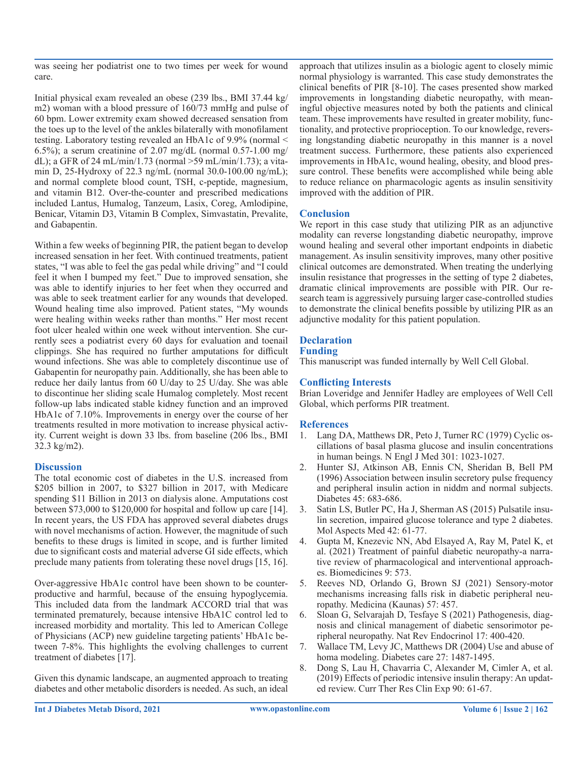was seeing her podiatrist one to two times per week for wound care.

Initial physical exam revealed an obese (239 lbs., BMI 37.44 kg/ m2) woman with a blood pressure of 160/73 mmHg and pulse of 60 bpm. Lower extremity exam showed decreased sensation from the toes up to the level of the ankles bilaterally with monofilament testing. Laboratory testing revealed an HbA1c of 9.9% (normal < 6.5%); a serum creatinine of 2.07 mg/dL (normal  $0.57$ -1.00 mg/ dL); a GFR of 24 mL/min/1.73 (normal >59 mL/min/1.73); a vitamin D, 25-Hydroxy of 22.3 ng/mL (normal 30.0-100.00 ng/mL); and normal complete blood count, TSH, c-peptide, magnesium, and vitamin B12. Over-the-counter and prescribed medications included Lantus, Humalog, Tanzeum, Lasix, Coreg, Amlodipine, Benicar, Vitamin D3, Vitamin B Complex, Simvastatin, Prevalite, and Gabapentin.

Within a few weeks of beginning PIR, the patient began to develop increased sensation in her feet. With continued treatments, patient states, "I was able to feel the gas pedal while driving" and "I could feel it when I bumped my feet." Due to improved sensation, she was able to identify injuries to her feet when they occurred and was able to seek treatment earlier for any wounds that developed. Wound healing time also improved. Patient states, "My wounds were healing within weeks rather than months." Her most recent foot ulcer healed within one week without intervention. She currently sees a podiatrist every 60 days for evaluation and toenail clippings. She has required no further amputations for difficult wound infections. She was able to completely discontinue use of Gabapentin for neuropathy pain. Additionally, she has been able to reduce her daily lantus from 60 U/day to 25 U/day. She was able to discontinue her sliding scale Humalog completely. Most recent follow-up labs indicated stable kidney function and an improved HbA1c of 7.10%. Improvements in energy over the course of her treatments resulted in more motivation to increase physical activity. Current weight is down 33 lbs. from baseline (206 lbs., BMI 32.3 kg/m2).

# **Discussion**

The total economic cost of diabetes in the U.S. increased from \$205 billion in 2007, to \$327 billion in 2017, with Medicare spending \$11 Billion in 2013 on dialysis alone. Amputations cost between \$73,000 to \$120,000 for hospital and follow up care [14]. In recent years, the US FDA has approved several diabetes drugs with novel mechanisms of action. However, the magnitude of such benefits to these drugs is limited in scope, and is further limited due to significant costs and material adverse GI side effects, which preclude many patients from tolerating these novel drugs [15, 16].

Over-aggressive HbA1c control have been shown to be counterproductive and harmful, because of the ensuing hypoglycemia. This included data from the landmark ACCORD trial that was terminated prematurely, because intensive HbA1C control led to increased morbidity and mortality. This led to American College of Physicians (ACP) new guideline targeting patients' HbA1c between 7-8%. This highlights the evolving challenges to current treatment of diabetes [17].

Given this dynamic landscape, an augmented approach to treating diabetes and other metabolic disorders is needed. As such, an ideal approach that utilizes insulin as a biologic agent to closely mimic normal physiology is warranted. This case study demonstrates the clinical benefits of PIR [8-10]. The cases presented show marked improvements in longstanding diabetic neuropathy, with meaningful objective measures noted by both the patients and clinical team. These improvements have resulted in greater mobility, functionality, and protective proprioception. To our knowledge, reversing longstanding diabetic neuropathy in this manner is a novel treatment success. Furthermore, these patients also experienced improvements in HbA1c, wound healing, obesity, and blood pressure control. These benefits were accomplished while being able to reduce reliance on pharmacologic agents as insulin sensitivity improved with the addition of PIR.

# **Conclusion**

We report in this case study that utilizing PIR as an adjunctive modality can reverse longstanding diabetic neuropathy, improve wound healing and several other important endpoints in diabetic management. As insulin sensitivity improves, many other positive clinical outcomes are demonstrated. When treating the underlying insulin resistance that progresses in the setting of type 2 diabetes, dramatic clinical improvements are possible with PIR. Our research team is aggressively pursuing larger case-controlled studies to demonstrate the clinical benefits possible by utilizing PIR as an adjunctive modality for this patient population.

# **Declaration**

#### **Funding**

This manuscript was funded internally by Well Cell Global.

# **Conflicting Interests**

Brian Loveridge and Jennifer Hadley are employees of Well Cell Global, which performs PIR treatment.

# **References**

- 1. Lang DA, Matthews DR, Peto J, Turner RC (1979) Cyclic oscillations of basal plasma glucose and insulin concentrations in human beings. N Engl J Med 301: 1023-1027.
- 2. Hunter SJ, Atkinson AB, Ennis CN, Sheridan B, Bell PM (1996) Association between insulin secretory pulse frequency and peripheral insulin action in niddm and normal subjects. Diabetes 45: 683-686.
- 3. Satin LS, Butler PC, Ha J, Sherman AS (2015) Pulsatile insulin secretion, impaired glucose tolerance and type 2 diabetes. Mol Aspects Med 42: 61-77.
- 4. Gupta M, Knezevic NN, Abd Elsayed A, Ray M, Patel K, et al. (2021) Treatment of painful diabetic neuropathy-a narrative review of pharmacological and interventional approaches. Biomedicines 9: 573.
- 5. Reeves ND, Orlando G, Brown SJ (2021) Sensory-motor mechanisms increasing falls risk in diabetic peripheral neuropathy. Medicina (Kaunas) 57: 457.
- 6. Sloan G, Selvarajah D, Tesfaye S (2021) Pathogenesis, diagnosis and clinical management of diabetic sensorimotor peripheral neuropathy. Nat Rev Endocrinol 17: 400-420.
- 7. Wallace TM, Levy JC, Matthews DR (2004) Use and abuse of homa modeling. Diabetes care 27: 1487-1495.
- 8. Dong S, Lau H, Chavarria C, Alexander M, Cimler A, et al. (2019) Effects of periodic intensive insulin therapy: An updated review. Curr Ther Res Clin Exp 90: 61-67.